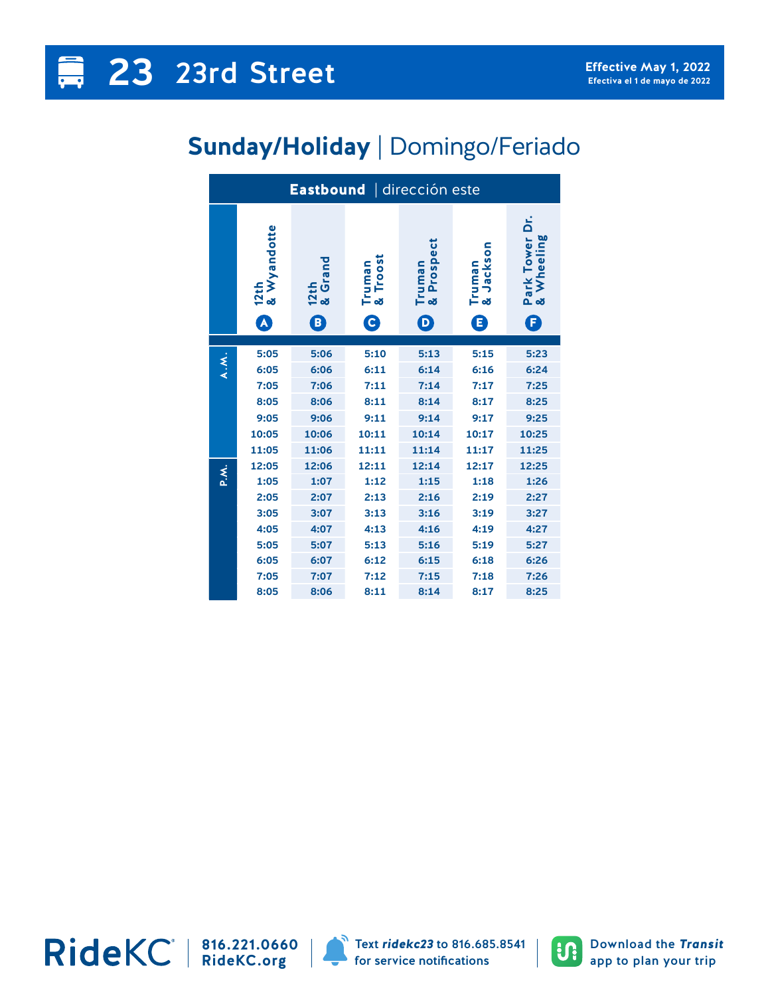## **Sunday/Holiday** | Domingo/Feriado

| Eastbound   dirección este |                     |                 |                    |                      |                         |                              |  |  |  |
|----------------------------|---------------------|-----------------|--------------------|----------------------|-------------------------|------------------------------|--|--|--|
|                            | 12th<br>& Wyandotte | 12th<br>& Grand | Truman<br>& Troost | Truman<br>& Prospect | Jackson<br>Truman<br>න් | Park Tower Dr.<br>& Wheeling |  |  |  |
|                            | A                   | B)              | $\mathbf{\Theta}$  | $\bm{\mathsf{D}}$    | 8                       | F)                           |  |  |  |
|                            |                     |                 |                    |                      |                         |                              |  |  |  |
| A.M.                       | 5:05<br>6:05        | 5:06<br>6:06    | 5:10<br>6:11       | 5:13<br>6:14         | 5:15<br>6:16            | 5:23<br>6:24                 |  |  |  |
|                            | 7:05                | 7:06            | 7:11               | 7:14                 | 7:17                    | 7:25                         |  |  |  |
|                            | 8:05                |                 |                    |                      | 8:17                    |                              |  |  |  |
|                            |                     | 8:06            | 8:11               | 8:14                 |                         | 8:25                         |  |  |  |
|                            | 9:05                | 9:06            | 9:11               | 9:14                 | 9:17                    | 9:25                         |  |  |  |
|                            | 10:05               | 10:06           | 10:11              | 10:14                | 10:17                   | 10:25                        |  |  |  |
|                            | 11:05               | 11:06           | 11:11              | 11:14                | 11:17                   | 11:25                        |  |  |  |
| P.M.                       | 12:05               | 12:06           | 12:11              | 12:14                | 12:17                   | 12:25                        |  |  |  |
|                            | 1:05                | 1:07            | 1:12               | 1:15                 | 1:18                    | 1:26                         |  |  |  |
|                            | 2:05                | 2:07            | 2:13               | 2:16                 | 2:19                    | 2:27                         |  |  |  |
|                            | 3:05                | 3:07            | 3:13               | 3:16                 | 3:19                    | 3:27                         |  |  |  |
|                            | 4:05                | 4:07            | 4:13               | 4:16                 | 4:19                    | 4:27                         |  |  |  |
|                            | 5:05                | 5:07            | 5:13               | 5:16                 | 5:19                    | 5:27                         |  |  |  |
|                            | 6:05                | 6:07            | 6:12               | 6:15                 | 6:18                    | 6:26                         |  |  |  |
|                            | 7:05                | 7:07            | 7:12               | 7:15                 | 7:18                    | 7:26                         |  |  |  |
|                            | 8:05                | 8:06            | 8:11               | 8:14                 | 8:17                    | 8:25                         |  |  |  |

**816.221.0660 RideKC.org**



Text *ridekc23* to 816.685.8541 for service notifications